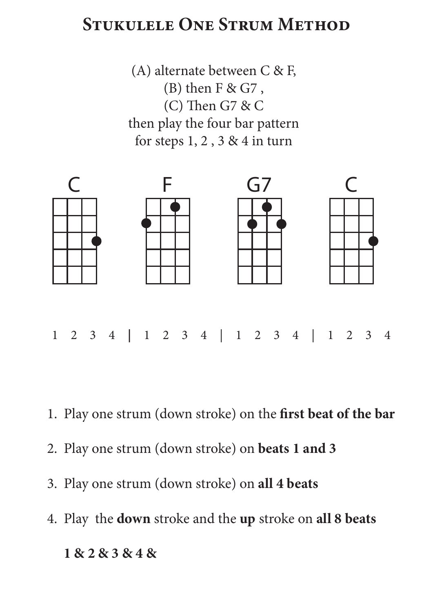# **Stukulele One Strum Method**

(A) alternate between C & F, (B) then F & G7 , (C) Then G7 & C then play the four bar pattern for steps 1, 2 , 3 & 4 in turn



- 1. Play one strum (down stroke) on the **first beat of the bar**
- 2. Play one strum (down stroke) on **beats 1 and 3**
- 3. Play one strum (down stroke) on **all 4 beats**
- 4. Play the **down** stroke and the **up** stroke on **all 8 beats**

### **1 & 2 & 3 & 4 &**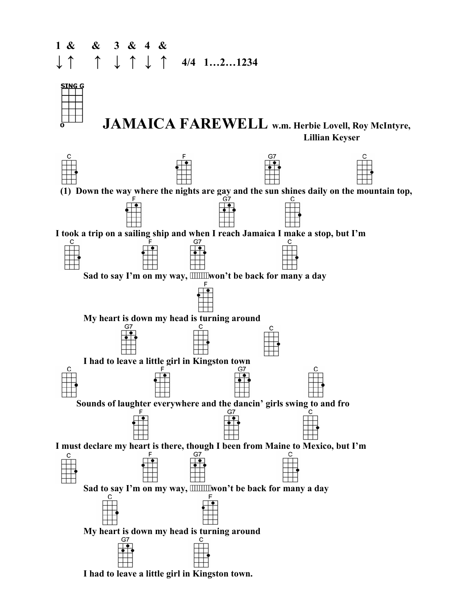

 **I had to leave a little girl in Kingston town.**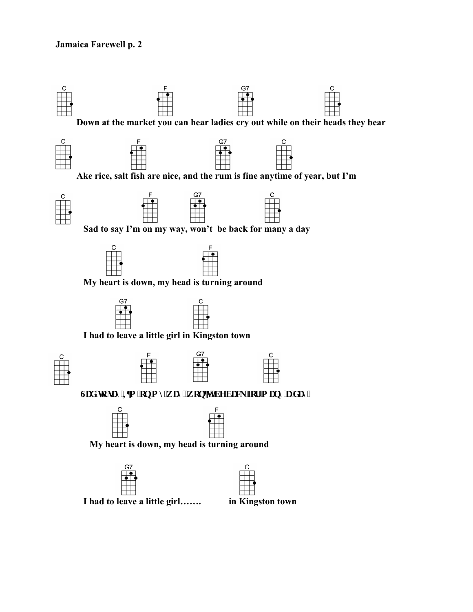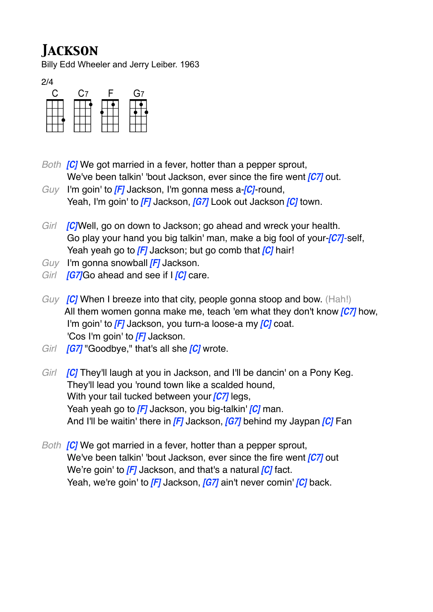## *Jackson*

Billy Edd Wheeler and Jerry Leiber. 1963

| 2/4 |    |   |                |
|-----|----|---|----------------|
| ٢.  | C7 | ⊏ | G <sub>7</sub> |
|     |    |   |                |
|     |    |   |                |
|     |    |   |                |
|     |    |   |                |

- *Both [C]* We got married in a fever, hotter than a pepper sprout, We've been talkin' 'bout Jackson, ever since the fire went *[C7]* out.
- *Guy* I'm goin' to *[F]* Jackson, I'm gonna mess a-*[C]*-round, Yeah, I'm goin' to *[F]* Jackson, *[G7]* Look out Jackson *[C]* town.
- *Girl [C]*Well, go on down to Jackson; go ahead and wreck your health. Go play your hand you big talkin' man, make a big fool of your-*[C7]*-self, Yeah yeah go to *[F]* Jackson; but go comb that *[C]* hair!
- *Guy* I'm gonna snowball *[F]* Jackson.
- *Girl [G7]*Go ahead and see if I *[C]* care.
- *Guy [C]* When I breeze into that city, people gonna stoop and bow. (Hah!) All them women gonna make me, teach 'em what they don't know *[C7]* how, I'm goin' to *[F]* Jackson, you turn-a loose-a my *[C]* coat. 'Cos I'm goin' to *[F]* Jackson.
- *Girl [G7]* "Goodbye," that's all she *[C]* wrote.
- *Girl [C]* They'll laugh at you in Jackson, and I'll be dancin' on a Pony Keg. They'll lead you 'round town like a scalded hound, With your tail tucked between your *[C7]* legs, Yeah yeah go to *[F]* Jackson, you big-talkin' *[C]* man. And I'll be waitin' there in *[F]* Jackson, *[G7]* behind my Jaypan *[C]* Fan
- *Both [C]* We got married in a fever, hotter than a pepper sprout, We've been talkin' 'bout Jackson, ever since the fire went *[C7]* out We're goin' to *[F]* Jackson, and that's a natural *[C]* fact. Yeah, we're goin' to *[F]* Jackson, *[G7]* ain't never comin' *[C]* back.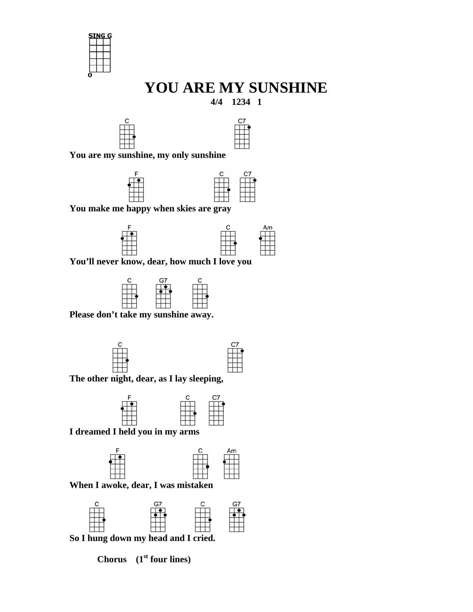

# **YOU ARE MY SUNSHINE**

**4/4 1234 1** 





**You are my sunshine, my only sunshine** 





 **You make me happy when skies are gray** 



 **You'll never know, dear, how much I love you** 



 **Please don't take my sunshine away.** 





 **The other night, dear, as I lay sleeping,** 



 **I dreamed I held you in my arms** 



 **When I awoke, dear, I was mistaken** 



 **So I hung down my head and I cried.** 

Chorus (1<sup>st</sup> four lines)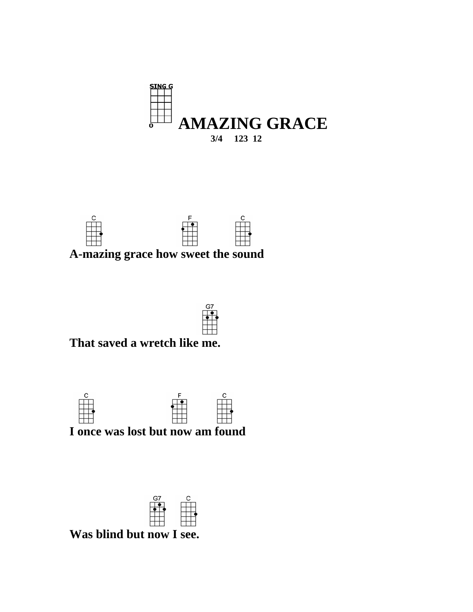



**A-mazing grace how sweet the sound** 



**That saved a wretch like me.** 



**I once was lost but now am found** 



**Was blind but now I see.**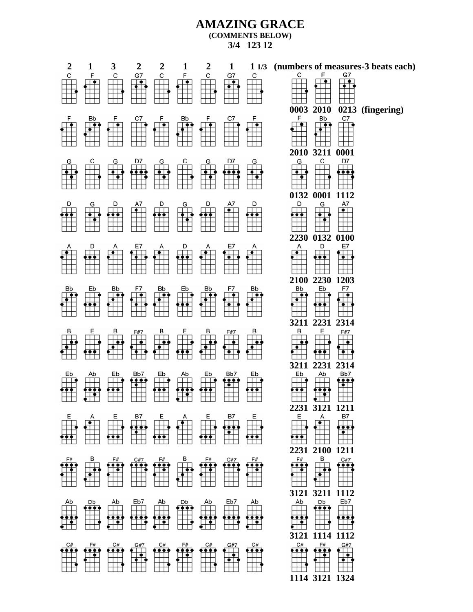#### **AMAZING GRACE (COMMENTS BELOW) 3/4 123 12**

| $\boldsymbol{2}$                                                                           | 1                                                                | 3              | $\boldsymbol{2}$   | $\boldsymbol{2}$                             | 1                                                                                                                                                                                                                                                                                                                                            | $\boldsymbol{2}$                  | 1                                                                                                                                                                              | 11/3                                                                      | (numbers of measures-3 beats each)                                                                                                                                                                                                 |
|--------------------------------------------------------------------------------------------|------------------------------------------------------------------|----------------|--------------------|----------------------------------------------|----------------------------------------------------------------------------------------------------------------------------------------------------------------------------------------------------------------------------------------------------------------------------------------------------------------------------------------------|-----------------------------------|--------------------------------------------------------------------------------------------------------------------------------------------------------------------------------|---------------------------------------------------------------------------|------------------------------------------------------------------------------------------------------------------------------------------------------------------------------------------------------------------------------------|
| C                                                                                          | F                                                                | C              | G7                 | C                                            | F                                                                                                                                                                                                                                                                                                                                            | $\overline{c}$                    | G7                                                                                                                                                                             | $\overline{c}$                                                            | $rac{G7}{11}$<br>С<br>F<br>0003<br>2010<br>0213 (fingering)                                                                                                                                                                        |
| F                                                                                          | Bb                                                               | F              | $\frac{C7}{11}$    | F                                            | $rac{Bb}{\sqrt{1-c}}$                                                                                                                                                                                                                                                                                                                        | $\overline{F}$                    | $\frac{C7}{11}$                                                                                                                                                                | F                                                                         | F<br>C7<br>$rac{Bb}{\sqrt{1-\frac{b}{b}}}$<br>3211<br>2010<br>0001                                                                                                                                                                 |
| $\frac{G}{\Box}$                                                                           | $\overline{c}$                                                   |                | D7                 | $\begin{array}{c}\nG \\ \hline\n\end{array}$ | $\frac{c}{H}$                                                                                                                                                                                                                                                                                                                                | $\frac{1}{\sqrt{2}}$              | $\frac{D7}{111}$                                                                                                                                                               | $\begin{array}{c}\n\hline\n\downarrow \\ \hline\n\downarrow\n\end{array}$ | С<br>D <sub>7</sub><br>$\frac{G}{\prod}$<br>╨                                                                                                                                                                                      |
| D                                                                                          |                                                                  | D              | A7                 | $\frac{1}{\pm}$                              | G                                                                                                                                                                                                                                                                                                                                            | D<br>∰                            | A7                                                                                                                                                                             | D                                                                         | 0132<br>0001<br>1112<br>A7<br>D<br>$\overline{G}$                                                                                                                                                                                  |
|                                                                                            |                                                                  |                | E7                 |                                              |                                                                                                                                                                                                                                                                                                                                              |                                   |                                                                                                                                                                                |                                                                           | 2230<br>0132<br>0100<br>E7<br>Α<br>D<br>$\overrightarrow{P}$                                                                                                                                                                       |
| Bb                                                                                         | E <sub>b</sub>                                                   | $\overline{B}$ | F7                 | $\mathsf{B}\mathsf{b}$                       | $rac{Eb}{\prod}$                                                                                                                                                                                                                                                                                                                             | $rac{Bb}{\bullet}$                | $\frac{F7}{1}$                                                                                                                                                                 | Bb                                                                        | 2230<br>1203<br>2100<br><u>Bb</u><br>Eb<br>F7                                                                                                                                                                                      |
|                                                                                            | Ε                                                                | в              | F#7                |                                              | E                                                                                                                                                                                                                                                                                                                                            | в                                 | F#7                                                                                                                                                                            | в                                                                         | 2231<br>2314<br>3211<br>Ε<br>в<br>F#7                                                                                                                                                                                              |
| Eb                                                                                         | Ab                                                               | Eb             | Bb7                | Eb                                           | $rac{Ab}{1}$                                                                                                                                                                                                                                                                                                                                 | Eb                                | Bb7                                                                                                                                                                            | Eb                                                                        | 2231<br>2314<br>3211<br>Eb<br>Ab<br>Bb7                                                                                                                                                                                            |
|                                                                                            | $\begin{array}{c}\nA \\ \bullet \\ \bullet\n\end{array}$         |                |                    |                                              |                                                                                                                                                                                                                                                                                                                                              |                                   |                                                                                                                                                                                |                                                                           | 2231 3121 1211<br>$\frac{5}{11}$<br>$rac{B7}{1}$<br>$\begin{array}{c}\nA \\ \bullet \\ \hline\n\end{array}$                                                                                                                        |
| $\begin{array}{c}\nF \# \\ \hline\n\bullet \bullet \bullet \bullet \\ \hline\n\end{array}$ |                                                                  |                |                    |                                              | $\frac{B}{1+1}$                                                                                                                                                                                                                                                                                                                              |                                   |                                                                                                                                                                                |                                                                           | 1211<br>2100<br>2231<br>$\begin{array}{c}\nF \# \\ \hline\n\bullet \bullet \bullet \\ \hline\n\bullet \end{array}$<br>$\frac{B}{\bullet}$<br>$\begin{array}{c}\n C#7 \\  \bullet \bullet \bullet \bullet \\  \hline\n \end{array}$ |
| $\overline{AB}$                                                                            | $\begin{array}{c}\n\text{Db} \\ \hline\n\text{1--}\n\end{array}$ |                | $\frac{Ab}{1}$ Eb7 | $\frac{Ab}{\sqrt{1-\frac{1}{2}}}$            | $\begin{array}{c}\n\hline\n\text{Db} \\ \hline\n\text{F} \\ \hline\n\end{array}$                                                                                                                                                                                                                                                             | $\frac{Ab}{\sqrt{1-\frac{1}{2}}}$ | $\begin{array}{c}\n\text{Eb7} \\ \hline\n\text{AD} \\ \hline\n\text{D} \\ \hline\n\text{D} \\ \hline\n\text{D} \\ \hline\n\text{D} \\ \hline\n\text{D} \\ \hline\n\end{array}$ |                                                                           | 3211<br>3121<br>1112<br>Eb7<br>$rac{\text{Ab}}{\Box}$<br>Db<br><b>FF.</b><br>iii<br>H<br><b>HE</b>                                                                                                                                 |
|                                                                                            |                                                                  |                |                    |                                              | $\begin{picture}(100,10) \put(0,0){\line(1,0){100}} \put(10,0){\line(1,0){100}} \put(10,0){\line(1,0){100}} \put(10,0){\line(1,0){100}} \put(10,0){\line(1,0){100}} \put(10,0){\line(1,0){100}} \put(10,0){\line(1,0){100}} \put(10,0){\line(1,0){100}} \put(10,0){\line(1,0){100}} \put(10,0){\line(1,0){100}} \put(10,0){\line(1,0){100}}$ |                                   |                                                                                                                                                                                |                                                                           | 3121 1114 1112<br>$\frac{C#}{\bullet \bullet \bullet}$<br>$\begin{array}{c} \n\overline{F^*} \\ \overline{F^*} \\ \overline{F^*} \\ \end{array}$<br>$\frac{G#7}{\bullet}$<br>1114 3121 1324                                        |